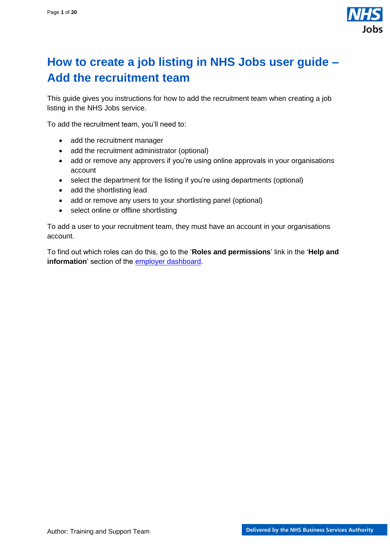

## <span id="page-0-0"></span>**How to create a job listing in NHS Jobs user guide – Add the recruitment team**

This guide gives you instructions for how to add the recruitment team when creating a job listing in the NHS Jobs service.

To add the recruitment team, you'll need to:

- add the recruitment manager
- add the recruitment administrator (optional)
- add or remove any approvers if you're using online approvals in your organisations account
- select the department for the listing if you're using departments (optional)
- add the shortlisting lead
- add or remove any users to your shortlisting panel (optional)
- select online or offline shortlisting

To add a user to your recruitment team, they must have an account in your organisations account.

To find out which roles can do this, go to the '**Roles and permissions**' link in the '**Help and information**' section of the [employer dashboard.](https://beta.jobs.nhs.uk/home)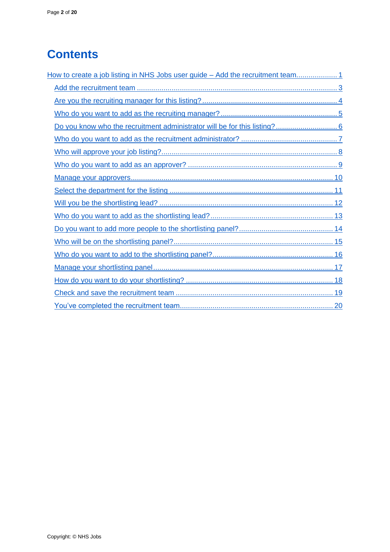# **Contents**

| How to create a job listing in NHS Jobs user guide - Add the recruitment team1 |
|--------------------------------------------------------------------------------|
|                                                                                |
|                                                                                |
|                                                                                |
|                                                                                |
|                                                                                |
|                                                                                |
|                                                                                |
|                                                                                |
|                                                                                |
|                                                                                |
|                                                                                |
|                                                                                |
|                                                                                |
|                                                                                |
|                                                                                |
|                                                                                |
|                                                                                |
|                                                                                |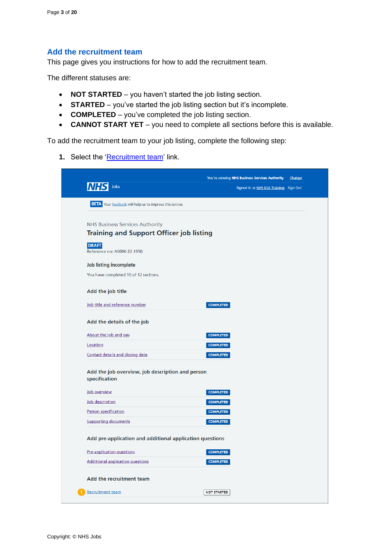#### <span id="page-2-0"></span>**Add the recruitment team**

This page gives you instructions for how to add the recruitment team.

The different statuses are:

- **NOT STARTED**  you haven't started the job listing section.
- **STARTED** you've started the job listing section but it's incomplete.
- **COMPLETED** you've completed the job listing section.
- **CANNOT START YET** you need to complete all sections before this is available.

To add the recruitment team to your job listing, complete the following step:

1. Select the ['Recruitment team'](#page-3-0) link.

| Jobs<br><b>BETA</b> Your feedback will help us to improve this service.<br><b>NHS Business Services Authority</b><br><b>Training and Support Officer job listing</b><br>Add the job title<br><b>COMPLETED</b><br>Add the details of the job<br><b>COMPLETED</b><br><b>COMPLETED</b><br>Contact details and closing date<br><b>COMPLETED</b><br>Add the job overview, job description and person<br>specification<br>Job overview<br><b>COMPLETED</b><br>Job description<br><b>COMPLETED</b><br>Person specification<br><b>COMPLETED</b><br><b>COMPLETED</b><br>Add pre-application and additional application questions<br>Pre-application questions<br><b>COMPLETED</b><br><b>COMPLETED</b><br><b>NOT STARTED</b> |                                             | You're viewing NHS Business Services Authority<br>Change |
|--------------------------------------------------------------------------------------------------------------------------------------------------------------------------------------------------------------------------------------------------------------------------------------------------------------------------------------------------------------------------------------------------------------------------------------------------------------------------------------------------------------------------------------------------------------------------------------------------------------------------------------------------------------------------------------------------------------------|---------------------------------------------|----------------------------------------------------------|
|                                                                                                                                                                                                                                                                                                                                                                                                                                                                                                                                                                                                                                                                                                                    |                                             | Signed in as NHS BSA Training Sign Out                   |
|                                                                                                                                                                                                                                                                                                                                                                                                                                                                                                                                                                                                                                                                                                                    |                                             |                                                          |
|                                                                                                                                                                                                                                                                                                                                                                                                                                                                                                                                                                                                                                                                                                                    |                                             |                                                          |
|                                                                                                                                                                                                                                                                                                                                                                                                                                                                                                                                                                                                                                                                                                                    |                                             |                                                          |
|                                                                                                                                                                                                                                                                                                                                                                                                                                                                                                                                                                                                                                                                                                                    | <b>DRAFT</b><br>Reference no: A0090-22-1950 |                                                          |
|                                                                                                                                                                                                                                                                                                                                                                                                                                                                                                                                                                                                                                                                                                                    | Job listing incomplete                      |                                                          |
|                                                                                                                                                                                                                                                                                                                                                                                                                                                                                                                                                                                                                                                                                                                    | You have completed 10 of 12 sections.       |                                                          |
|                                                                                                                                                                                                                                                                                                                                                                                                                                                                                                                                                                                                                                                                                                                    |                                             |                                                          |
|                                                                                                                                                                                                                                                                                                                                                                                                                                                                                                                                                                                                                                                                                                                    | Job title and reference number              |                                                          |
|                                                                                                                                                                                                                                                                                                                                                                                                                                                                                                                                                                                                                                                                                                                    |                                             |                                                          |
|                                                                                                                                                                                                                                                                                                                                                                                                                                                                                                                                                                                                                                                                                                                    | About the job and pay<br>Location           |                                                          |
|                                                                                                                                                                                                                                                                                                                                                                                                                                                                                                                                                                                                                                                                                                                    |                                             |                                                          |
|                                                                                                                                                                                                                                                                                                                                                                                                                                                                                                                                                                                                                                                                                                                    |                                             |                                                          |
|                                                                                                                                                                                                                                                                                                                                                                                                                                                                                                                                                                                                                                                                                                                    |                                             |                                                          |
|                                                                                                                                                                                                                                                                                                                                                                                                                                                                                                                                                                                                                                                                                                                    |                                             |                                                          |
|                                                                                                                                                                                                                                                                                                                                                                                                                                                                                                                                                                                                                                                                                                                    |                                             |                                                          |
|                                                                                                                                                                                                                                                                                                                                                                                                                                                                                                                                                                                                                                                                                                                    | <b>Supporting documents</b>                 |                                                          |
|                                                                                                                                                                                                                                                                                                                                                                                                                                                                                                                                                                                                                                                                                                                    |                                             |                                                          |
|                                                                                                                                                                                                                                                                                                                                                                                                                                                                                                                                                                                                                                                                                                                    |                                             |                                                          |
|                                                                                                                                                                                                                                                                                                                                                                                                                                                                                                                                                                                                                                                                                                                    |                                             |                                                          |
|                                                                                                                                                                                                                                                                                                                                                                                                                                                                                                                                                                                                                                                                                                                    | <b>Additional application questions</b>     |                                                          |
|                                                                                                                                                                                                                                                                                                                                                                                                                                                                                                                                                                                                                                                                                                                    | Add the recruitment team                    |                                                          |
|                                                                                                                                                                                                                                                                                                                                                                                                                                                                                                                                                                                                                                                                                                                    | Recruitment team                            |                                                          |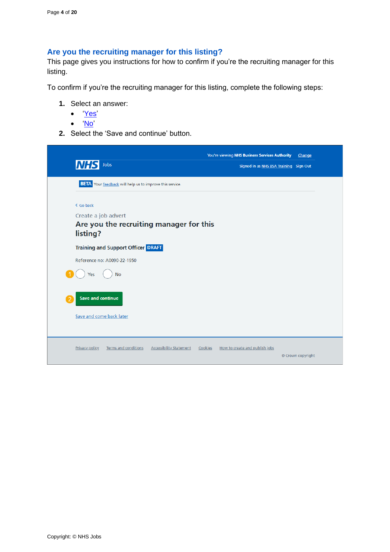## <span id="page-3-0"></span>**Are you the recruiting manager for this listing?**

This page gives you instructions for how to confirm if you're the recruiting manager for this listing.

To confirm if you're the recruiting manager for this listing, complete the following steps:

- **1.** Select an answer:
	- ['Yes'](#page-5-0)
	- ['No'](#page-4-0)
- **2.** Select the 'Save and continue' button.

| <b>NHS</b><br>Jobs                                                                      | You're viewing NHS Business Services Authority<br>Change<br>Signed in as NHS BSA Training Sign Out |  |
|-----------------------------------------------------------------------------------------|----------------------------------------------------------------------------------------------------|--|
| <b>BETA</b> Your feedback will help us to improve this service.                         |                                                                                                    |  |
| < Go back<br>Create a job advert<br>Are you the recruiting manager for this<br>listing? |                                                                                                    |  |
| <b>Training and Support Officer DRAFT</b>                                               |                                                                                                    |  |
| Reference no: A0090-22-1950                                                             |                                                                                                    |  |
| <b>No</b><br>Yes                                                                        |                                                                                                    |  |
| Save and continue                                                                       |                                                                                                    |  |
| Save and come back later                                                                |                                                                                                    |  |
|                                                                                         |                                                                                                    |  |
| <b>Privacy policy</b><br><b>Terms and conditions</b><br><b>Accessibility Statement</b>  | Cookies<br>How to create and publish jobs<br>© Crown copyright                                     |  |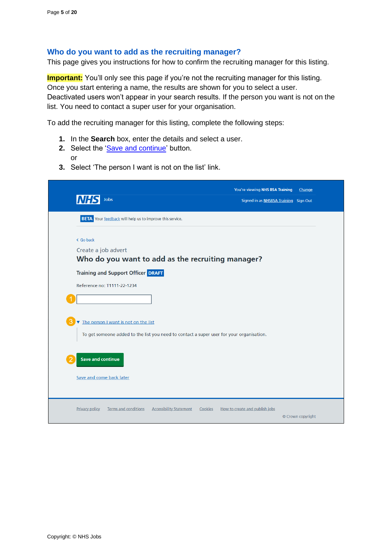## <span id="page-4-0"></span>**Who do you want to add as the recruiting manager?**

This page gives you instructions for how to confirm the recruiting manager for this listing.

**Important:** You'll only see this page if you're not the recruiting manager for this listing. Once you start entering a name, the results are shown for you to select a user. Deactivated users won't appear in your search results. If the person you want is not on the list. You need to contact a super user for your organisation.

To add the recruiting manager for this listing, complete the following steps:

- **1.** In the **Search** box, enter the details and select a user.
- **2.** Select the ['Save and continue'](#page-5-0) button. or
- **3.** Select 'The person I want is not on the list' link.

| Jobs<br><b>NHS</b>                                                                                                               |                                           | You're viewing NHS BSA Training<br>Signed in as NHSBSA Training Sign Out | Change            |
|----------------------------------------------------------------------------------------------------------------------------------|-------------------------------------------|--------------------------------------------------------------------------|-------------------|
| <b>BETA</b> Your feedback will help us to improve this service.                                                                  |                                           |                                                                          |                   |
| < Go back<br>Create a job advert<br>Who do you want to add as the recruiting manager?                                            |                                           |                                                                          |                   |
| <b>Training and Support Officer DRAFT</b><br>Reference no: T1111-22-1234                                                         |                                           |                                                                          |                   |
|                                                                                                                                  |                                           |                                                                          |                   |
| The person I want is not on the list<br>To get someone added to the list you need to contact a super user for your organisation. |                                           |                                                                          |                   |
| <b>Save and continue</b>                                                                                                         |                                           |                                                                          |                   |
| Save and come back later                                                                                                         |                                           |                                                                          |                   |
| <b>Privacy policy</b><br><b>Terms and conditions</b>                                                                             | <b>Accessibility Statement</b><br>Cookies | How to create and publish jobs                                           | © Crown copyright |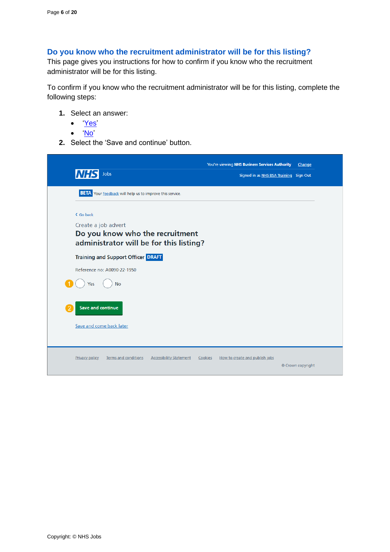## <span id="page-5-0"></span>**Do you know who the recruitment administrator will be for this listing?**

This page gives you instructions for how to confirm if you know who the recruitment administrator will be for this listing.

To confirm if you know who the recruitment administrator will be for this listing, complete the following steps:

- **1.** Select an answer:
	- ['Yes'](#page-6-0)
	- ['No'](#page-7-0)
- **2.** Select the 'Save and continue' button.

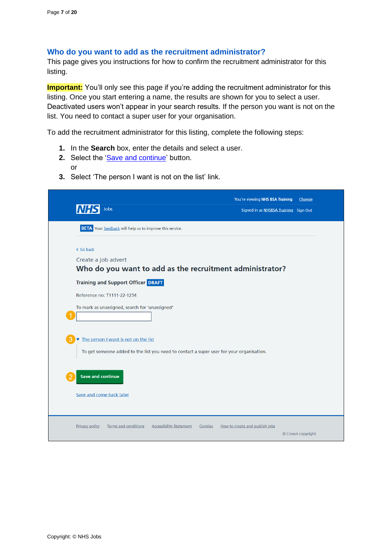#### <span id="page-6-0"></span>**Who do you want to add as the recruitment administrator?**

This page gives you instructions for how to confirm the recruitment administrator for this listing.

**Important:** You'll only see this page if you're adding the recruitment administrator for this listing. Once you start entering a name, the results are shown for you to select a user. Deactivated users won't appear in your search results. If the person you want is not on the list. You need to contact a super user for your organisation.

To add the recruitment administrator for this listing, complete the following steps:

- **1.** In the **Search** box, enter the details and select a user.
- **2.** Select the ['Save and continue'](#page-7-0) button. or
- **3.** Select 'The person I want is not on the list' link.

| Jobs                                                                                                                             | You're viewing NHS BSA Training<br>Change<br>Signed in as NHSBSA Training Sign Out |
|----------------------------------------------------------------------------------------------------------------------------------|------------------------------------------------------------------------------------|
| <b>BETA</b> Your feedback will help us to improve this service.                                                                  |                                                                                    |
| < Go back<br>Create a job advert<br>Who do you want to add as the recruitment administrator?                                     |                                                                                    |
| <b>Training and Support Officer DRAFT</b><br>Reference no: T1111-22-1234<br>To mark as unassigned, search for 'unassigned'       |                                                                                    |
| The person I want is not on the list<br>To get someone added to the list you need to contact a super user for your organisation. |                                                                                    |
| <b>Save and continue</b><br>Save and come back later                                                                             |                                                                                    |
| <b>Privacy policy</b><br><b>Terms and conditions</b><br><b>Accessibility Statement</b><br>Cookies                                | How to create and publish jobs<br>© Crown copyright                                |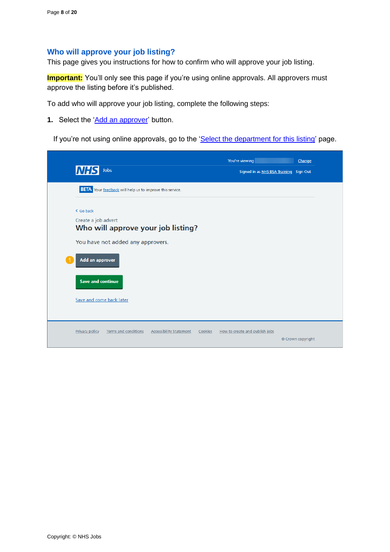#### <span id="page-7-0"></span>**Who will approve your job listing?**

This page gives you instructions for how to confirm who will approve your job listing.

**Important:** You'll only see this page if you're using online approvals. All approvers must approve the listing before it's published.

To add who will approve your job listing, complete the following steps:

**1.** Select the ['Add an approver'](#page-8-0) button.

If you're not using online approvals, go to the ['Select the department for this listing'](#page-10-0) page.

| <b>NHS</b><br>Jobs                                                                                | You're viewing<br>Signed in as NHS BSA Training Sign Out | Change            |
|---------------------------------------------------------------------------------------------------|----------------------------------------------------------|-------------------|
| <b>BETA</b> Your feedback will help us to improve this service.                                   |                                                          |                   |
| < Go back                                                                                         |                                                          |                   |
| Create a job advert                                                                               |                                                          |                   |
| Who will approve your job listing?                                                                |                                                          |                   |
|                                                                                                   |                                                          |                   |
| You have not added any approvers.                                                                 |                                                          |                   |
| Add an approver                                                                                   |                                                          |                   |
| <b>Save and continue</b>                                                                          |                                                          |                   |
| Save and come back later                                                                          |                                                          |                   |
|                                                                                                   |                                                          |                   |
| <b>Terms and conditions</b><br><b>Privacy policy</b><br><b>Accessibility Statement</b><br>Cookies | How to create and publish jobs                           |                   |
|                                                                                                   |                                                          | © Crown copyright |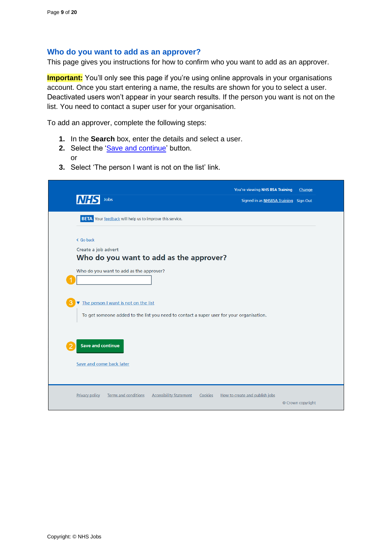#### <span id="page-8-0"></span>**Who do you want to add as an approver?**

This page gives you instructions for how to confirm who you want to add as an approver.

**Important:** You'll only see this page if you're using online approvals in your organisations account. Once you start entering a name, the results are shown for you to select a user. Deactivated users won't appear in your search results. If the person you want is not on the list. You need to contact a super user for your organisation.

To add an approver, complete the following steps:

- **1.** In the **Search** box, enter the details and select a user.
- **2.** Select the ['Save and continue'](#page-9-0) button. or
- **3.** Select 'The person I want is not on the list' link.

|                                                                                                   | You're viewing NHS BSA Training       | Change            |
|---------------------------------------------------------------------------------------------------|---------------------------------------|-------------------|
| Jobs<br><b>NHSI</b>                                                                               | Signed in as NHSBSA Training Sign Out |                   |
| <b>BETA</b> Your feedback will help us to improve this service.                                   |                                       |                   |
| < Go back                                                                                         |                                       |                   |
| Create a job advert                                                                               |                                       |                   |
| Who do you want to add as the approver?                                                           |                                       |                   |
| Who do you want to add as the approver?                                                           |                                       |                   |
| The person I want is not on the list                                                              |                                       |                   |
| To get someone added to the list you need to contact a super user for your organisation.          |                                       |                   |
|                                                                                                   |                                       |                   |
| <b>Save and continue</b>                                                                          |                                       |                   |
| Save and come back later                                                                          |                                       |                   |
|                                                                                                   |                                       |                   |
| <b>Privacy policy</b><br><b>Terms and conditions</b><br><b>Accessibility Statement</b><br>Cookies | How to create and publish jobs        | © Crown copyright |
|                                                                                                   |                                       |                   |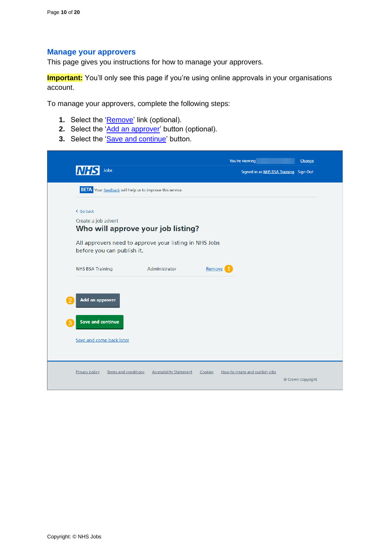#### <span id="page-9-0"></span>**Manage your approvers**

This page gives you instructions for how to manage your approvers.

**Important:** You'll only see this page if you're using online approvals in your organisations account.

To manage your approvers, complete the following steps:

- **1.** Select the '*Remove'* link (optional).
- **2.** Select the ['Add an approver'](#page-8-0) button (optional).
- **3.** Select the ['Save and continue'](#page-10-0) button.

|                            |                                                                 |        | You're viewing                         | Change |
|----------------------------|-----------------------------------------------------------------|--------|----------------------------------------|--------|
| Jobs<br><b>NHS</b>         |                                                                 |        | Signed in as NHS BSA Training Sign Out |        |
|                            | <b>BETA</b> Your feedback will help us to improve this service. |        |                                        |        |
| < Go back                  |                                                                 |        |                                        |        |
| Create a job advert        | Who will approve your job listing?                              |        |                                        |        |
| before you can publish it. | All approvers need to approve your listing in NHS Jobs          |        |                                        |        |
|                            |                                                                 |        |                                        |        |
| <b>NHS BSA Training</b>    | Administrator                                                   | Remove |                                        |        |
|                            |                                                                 |        |                                        |        |
| Add an approver            |                                                                 |        |                                        |        |
|                            |                                                                 |        |                                        |        |
| <b>Save and continue</b>   |                                                                 |        |                                        |        |
| Save and come back later   |                                                                 |        |                                        |        |
|                            |                                                                 |        |                                        |        |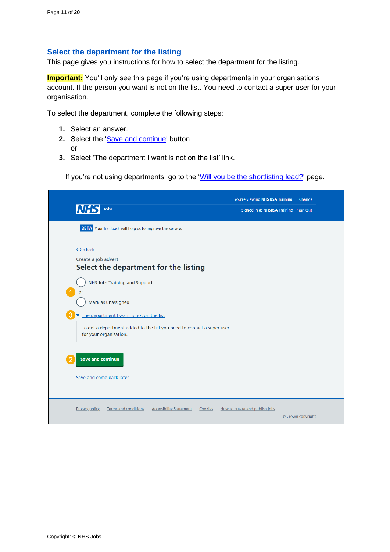#### <span id="page-10-0"></span>**Select the department for the listing**

This page gives you instructions for how to select the department for the listing.

**Important:** You'll only see this page if you're using departments in your organisations account. If the person you want is not on the list. You need to contact a super user for your organisation.

To select the department, complete the following steps:

- **1.** Select an answer.
- 2. Select the ['Save and continue'](#page-11-0) button. or
- **3.** Select 'The department I want is not on the list' link.

If you're not using departments, go to the ['Will you be the shortlisting lead?'](#page-11-0) page.

| Jobs<br><b>NHS</b>                                                                                                                           | You're viewing NHS BSA Training<br>Signed in as NHSBSA Training Sign Out | Change            |
|----------------------------------------------------------------------------------------------------------------------------------------------|--------------------------------------------------------------------------|-------------------|
| <b>BETA</b> Your feedback will help us to improve this service.                                                                              |                                                                          |                   |
| < Go back<br>Create a job advert<br>Select the department for the listing                                                                    |                                                                          |                   |
| <b>NHS Jobs Training and Support</b><br>or<br>Mark as unassigned                                                                             |                                                                          |                   |
| The department I want is not on the list<br>To get a department added to the list you need to contact a super user<br>for your organisation. |                                                                          |                   |
| <b>Save and continue</b><br>Save and come back later                                                                                         |                                                                          |                   |
|                                                                                                                                              |                                                                          |                   |
| <b>Privacy policy</b><br><b>Terms and conditions</b><br><b>Accessibility Statement</b><br>Cookies                                            | How to create and publish jobs                                           | © Crown copyright |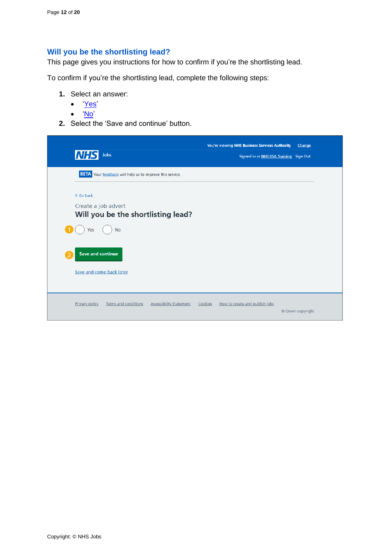## <span id="page-11-0"></span>**Will you be the shortlisting lead?**

This page gives you instructions for how to confirm if you're the shortlisting lead.

To confirm if you're the shortlisting lead, complete the following steps:

- **1.** Select an answer:
	- ['Yes'](#page-13-0)
	- ['No'](#page-12-0)
- **2.** Select the 'Save and continue' button.

| <b>NHS</b><br>Jobs                                                                                                                                 | You're viewing NHS Business Services Authority<br>Signed in as NHS BSA Training Sign Out | Change            |
|----------------------------------------------------------------------------------------------------------------------------------------------------|------------------------------------------------------------------------------------------|-------------------|
| <b>BETA</b> Your feedback will help us to improve this service.                                                                                    |                                                                                          |                   |
| < Go back<br>Create a job advert<br>Will you be the shortlisting lead?<br><b>No</b><br>Yes<br><b>Save and continue</b><br>Save and come back later |                                                                                          |                   |
| <b>Terms and conditions</b><br><b>Privacy policy</b><br><b>Accessibility Statement</b>                                                             | Cookies<br>How to create and publish jobs                                                | © Crown copyright |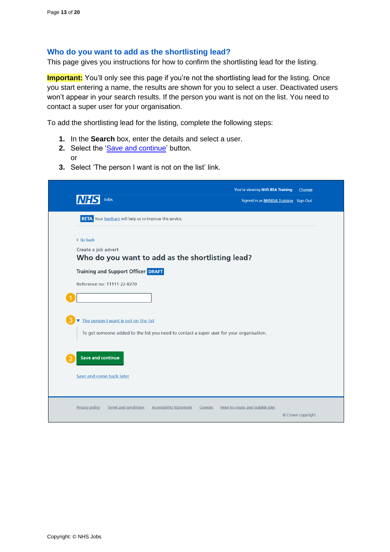## <span id="page-12-0"></span>**Who do you want to add as the shortlisting lead?**

This page gives you instructions for how to confirm the shortlisting lead for the listing.

**Important:** You'll only see this page if you're not the shortlisting lead for the listing. Once you start entering a name, the results are shown for you to select a user. Deactivated users won't appear in your search results. If the person you want is not on the list. You need to contact a super user for your organisation.

To add the shortlisting lead for the listing, complete the following steps:

- **1.** In the **Search** box, enter the details and select a user.
- **2.** Select the ['Save and continue'](#page-13-0) button. or
- **3.** Select 'The person I want is not on the list' link.

| Jobs<br><b>NHS</b>                                                                                                               | You're viewing NHS BSA Training<br>Change<br>Signed in as NHSBSA Training Sign Out |
|----------------------------------------------------------------------------------------------------------------------------------|------------------------------------------------------------------------------------|
| <b>BETA</b> Your feedback will help us to improve this service.                                                                  |                                                                                    |
| < Go back<br>Create a job advert<br>Who do you want to add as the shortlisting lead?                                             |                                                                                    |
| <b>Training and Support Officer DRAFT</b>                                                                                        |                                                                                    |
| Reference no: T1111-22-8270                                                                                                      |                                                                                    |
| The person I want is not on the list<br>To get someone added to the list you need to contact a super user for your organisation. |                                                                                    |
| <b>Save and continue</b>                                                                                                         |                                                                                    |
| Save and come back later                                                                                                         |                                                                                    |
| <b>Terms and conditions</b><br><b>Accessibility Statement</b><br><b>Privacy policy</b><br>Cookies                                | How to create and publish jobs<br>© Crown copyright                                |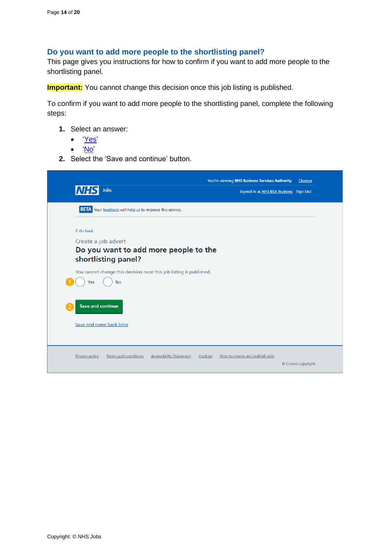#### <span id="page-13-0"></span>**Do you want to add more people to the shortlisting panel?**

This page gives you instructions for how to confirm if you want to add more people to the shortlisting panel.

**Important:** You cannot change this decision once this job listing is published.

To confirm if you want to add more people to the shortlisting panel, complete the following steps:

- **1.** Select an answer:
	- ['Yes'](#page-14-0)
	- ['No'](#page-17-0)
- **2.** Select the 'Save and continue' button.

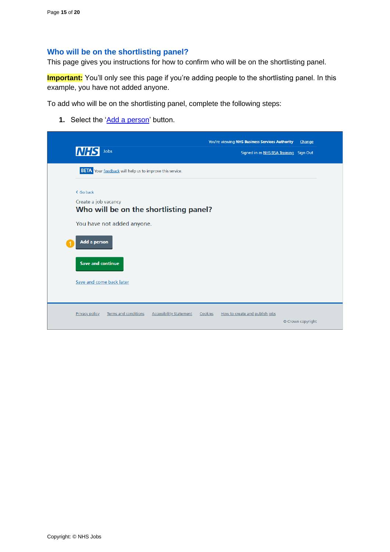## <span id="page-14-0"></span>**Who will be on the shortlisting panel?**

This page gives you instructions for how to confirm who will be on the shortlisting panel.

**Important:** You'll only see this page if you're adding people to the shortlisting panel. In this example, you have not added anyone.

To add who will be on the shortlisting panel, complete the following steps:

**1.** Select the ['Add a person'](#page-15-0) button.

|                                                                                 | You're viewing NHS Business Services Authority | Change            |
|---------------------------------------------------------------------------------|------------------------------------------------|-------------------|
| <b>NHS</b><br>Jobs                                                              | Signed in as NHS BSA Training Sign Out         |                   |
| <b>BETA</b> Your feedback will help us to improve this service.                 |                                                |                   |
| < Go back                                                                       |                                                |                   |
| Create a job vacancy<br>Who will be on the shortlisting panel?                  |                                                |                   |
| You have not added anyone.                                                      |                                                |                   |
| Add a person                                                                    |                                                |                   |
| <b>Save and continue</b>                                                        |                                                |                   |
| Save and come back later                                                        |                                                |                   |
|                                                                                 |                                                |                   |
| Terms and conditions<br><b>Privacy policy</b><br><b>Accessibility Statement</b> | How to create and publish jobs<br>Cookies      |                   |
|                                                                                 |                                                | © Crown copyright |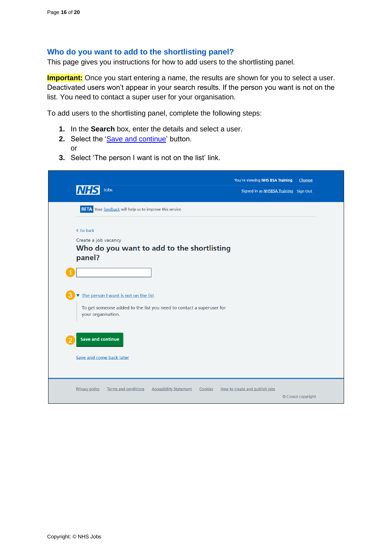#### <span id="page-15-0"></span>**Who do you want to add to the shortlisting panel?**

This page gives you instructions for how to add users to the shortlisting panel.

**Important:** Once you start entering a name, the results are shown for you to select a user. Deactivated users won't appear in your search results. If the person you want is not on the list. You need to contact a super user for your organisation.

To add users to the shortlisting panel, complete the following steps:

- **1.** In the **Search** box, enter the details and select a user.
- **2.** Select the ['Save and continue'](#page-16-0) button. or
- **3.** Select 'The person I want is not on the list' link.

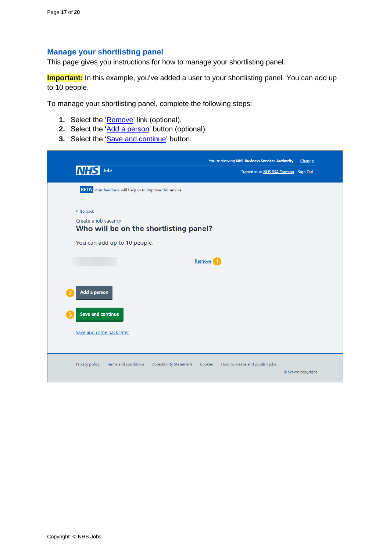## <span id="page-16-0"></span>**Manage your shortlisting panel**

This page gives you instructions for how to manage your shortlisting panel.

**Important:** In this example, you've added a user to your shortlisting panel. You can add up to 10 people.

To manage your shortlisting panel, complete the following steps:

- **1.** Select the '*Remove'* link (optional).
- **2.** Select the ['Add a person'](#page-15-0) button (optional).
- **3.** Select the ['Save and continue'](#page-17-0) button.

|                                                                                        | You're viewing NHS Business Services Authority | Change            |
|----------------------------------------------------------------------------------------|------------------------------------------------|-------------------|
| <b>NHS</b><br>Jobs                                                                     | Signed in as NHS BSA Training Sign Out         |                   |
| <b>BETA</b> Your feedback will help us to improve this service.                        |                                                |                   |
| < Go back                                                                              |                                                |                   |
| Create a job vacancy<br>Who will be on the shortlisting panel?                         |                                                |                   |
| You can add up to 10 people.                                                           |                                                |                   |
|                                                                                        | Remove <sup>1</sup>                            |                   |
|                                                                                        |                                                |                   |
| Add a person                                                                           |                                                |                   |
| <b>Save and continue</b>                                                               |                                                |                   |
|                                                                                        |                                                |                   |
| Save and come back later                                                               |                                                |                   |
|                                                                                        |                                                |                   |
| <b>Terms and conditions</b><br><b>Accessibility Statement</b><br><b>Privacy policy</b> | Cookies<br>How to create and publish jobs      |                   |
|                                                                                        |                                                | © Crown copyright |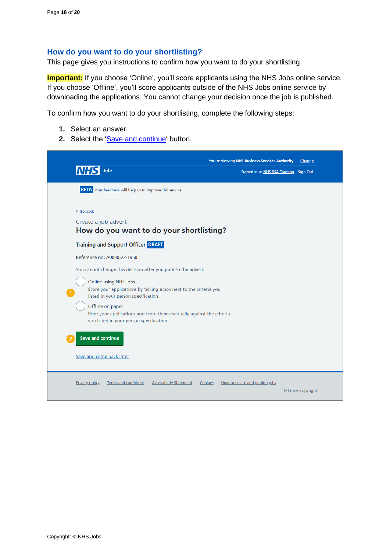#### <span id="page-17-0"></span>**How do you want to do your shortlisting?**

This page gives you instructions to confirm how you want to do your shortlisting.

**Important:** If you choose 'Online', you'll score applicants using the NHS Jobs online service. If you choose 'Offline', you'll score applicants outside of the NHS Jobs online service by downloading the applications. You cannot change your decision once the job is published.

To confirm how you want to do your shortlisting, complete the following steps:

- **1.** Select an answer.
- 2. Select the ['Save and continue'](#page-18-0) button.

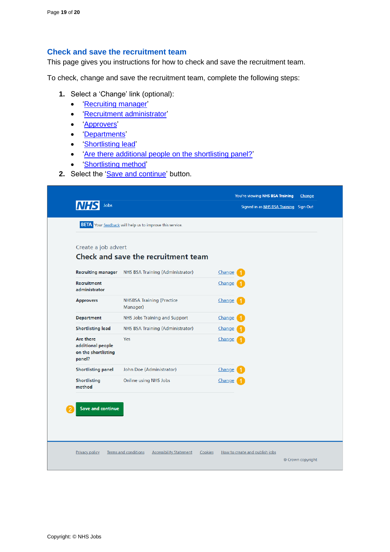#### <span id="page-18-0"></span>**Check and save the recruitment team**

This page gives you instructions for how to check and save the recruitment team.

To check, change and save the recruitment team, complete the following steps:

- **1.** Select a 'Change' link (optional):
	- ['Recruiting manager'](#page-4-0)
	- ['Recruitment administrator'](#page-6-0)
	- ['Approvers'](#page-8-0)
	- ['Departments'](#page-10-0)
	- ['Shortlisting lead'](#page-12-0)
	- ['Are there additional people on the shortlisting panel?'](#page-13-0)
	- ['Shortlisting method'](#page-17-0)
- 2. Select the ['Save and continue'](#page-19-1) button.

| Create a job advert                                             | Check and save the recruitment team                 |        |
|-----------------------------------------------------------------|-----------------------------------------------------|--------|
|                                                                 | Recruiting manager NHS BSA Training (Administrator) | Change |
| <b>Recruitment</b><br>administrator                             |                                                     | Change |
| <b>Approvers</b>                                                | <b>NHSBSA Training (Practice</b><br>Manager)        | Change |
| <b>Department</b>                                               | NHS Jobs Training and Support                       | Change |
| <b>Shortlisting lead</b>                                        | NHS BSA Training (Administrator)                    | Change |
| Are there<br>additional people<br>on the shortlisting<br>panel? | Yes                                                 | Change |
| <b>Shortlisting panel</b>                                       | John Doe (Administrator)                            | Change |
| Shortlisting<br>method                                          | Online using NHS Jobs                               | Change |
|                                                                 |                                                     |        |
| <b>Save and continue</b>                                        |                                                     |        |